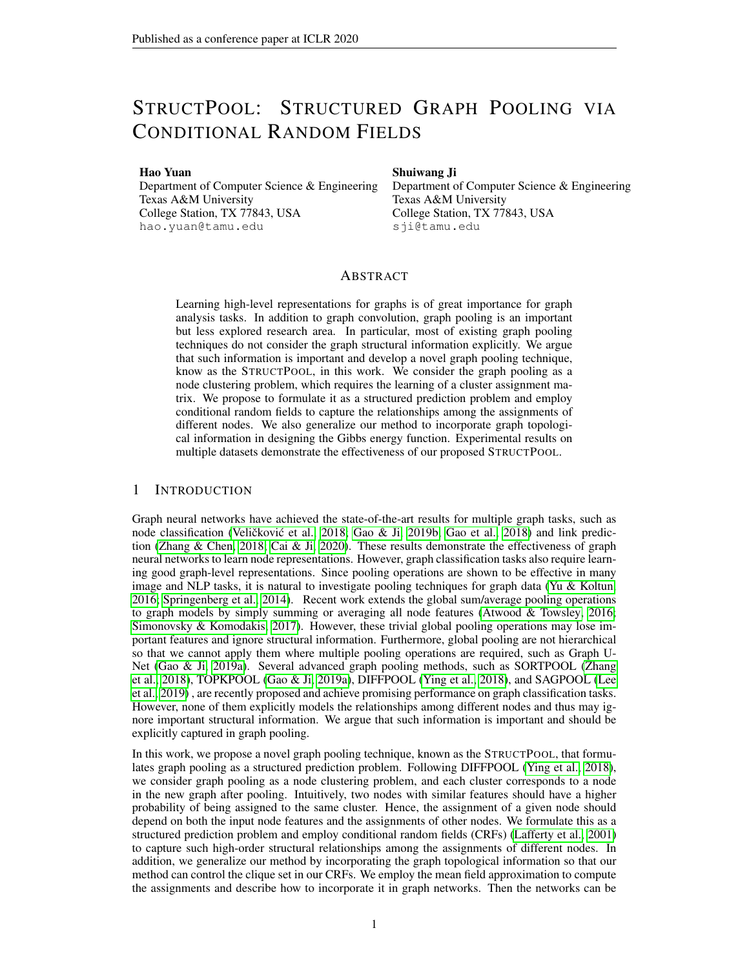# STRUCTPOOL: STRUCTURED GRAPH POOLING VIA CONDITIONAL RANDOM FIELDS

Hao Yuan

Department of Computer Science & Engineering Texas A&M University College Station, TX 77843, USA hao.yuan@tamu.edu

Shuiwang Ji

Department of Computer Science & Engineering Texas A&M University College Station, TX 77843, USA sji@tamu.edu

# ABSTRACT

Learning high-level representations for graphs is of great importance for graph analysis tasks. In addition to graph convolution, graph pooling is an important but less explored research area. In particular, most of existing graph pooling techniques do not consider the graph structural information explicitly. We argue that such information is important and develop a novel graph pooling technique, know as the STRUCTPOOL, in this work. We consider the graph pooling as a node clustering problem, which requires the learning of a cluster assignment matrix. We propose to formulate it as a structured prediction problem and employ conditional random fields to capture the relationships among the assignments of different nodes. We also generalize our method to incorporate graph topological information in designing the Gibbs energy function. Experimental results on multiple datasets demonstrate the effectiveness of our proposed STRUCTPOOL.

## 1 INTRODUCTION

Graph neural networks have achieved the state-of-the-art results for multiple graph tasks, such as node classification (Veličković et al., [2018;](#page-9-0) [Gao & Ji, 2019b;](#page-8-0) [Gao et al., 2018\)](#page-8-1) and link prediction [\(Zhang & Chen, 2018;](#page-9-1) [Cai & Ji, 2020\)](#page-8-2). These results demonstrate the effectiveness of graph neural networks to learn node representations. However, graph classification tasks also require learning good graph-level representations. Since pooling operations are shown to be effective in many image and NLP tasks, it is natural to investigate pooling techniques for graph data [\(Yu & Koltun,](#page-9-2) [2016;](#page-9-2) [Springenberg et al., 2014\)](#page-9-3). Recent work extends the global sum/average pooling operations to graph models by simply summing or averaging all node features [\(Atwood & Towsley, 2016;](#page-8-3) [Simonovsky & Komodakis, 2017\)](#page-9-4). However, these trivial global pooling operations may lose important features and ignore structural information. Furthermore, global pooling are not hierarchical so that we cannot apply them where multiple pooling operations are required, such as Graph U-Net [\(Gao & Ji, 2019a\)](#page-8-4). Several advanced graph pooling methods, such as SORTPOOL [\(Zhang](#page-9-5) [et al., 2018\)](#page-9-5), TOPKPOOL [\(Gao & Ji, 2019a\)](#page-8-4), DIFFPOOL [\(Ying et al., 2018\)](#page-9-6), and SAGPOOL [\(Lee](#page-8-5) [et al., 2019\)](#page-8-5) , are recently proposed and achieve promising performance on graph classification tasks. However, none of them explicitly models the relationships among different nodes and thus may ignore important structural information. We argue that such information is important and should be explicitly captured in graph pooling.

In this work, we propose a novel graph pooling technique, known as the STRUCTPOOL, that formulates graph pooling as a structured prediction problem. Following DIFFPOOL [\(Ying et al., 2018\)](#page-9-6), we consider graph pooling as a node clustering problem, and each cluster corresponds to a node in the new graph after pooling. Intuitively, two nodes with similar features should have a higher probability of being assigned to the same cluster. Hence, the assignment of a given node should depend on both the input node features and the assignments of other nodes. We formulate this as a structured prediction problem and employ conditional random fields (CRFs) [\(Lafferty et al., 2001\)](#page-8-6) to capture such high-order structural relationships among the assignments of different nodes. In addition, we generalize our method by incorporating the graph topological information so that our method can control the clique set in our CRFs. We employ the mean field approximation to compute the assignments and describe how to incorporate it in graph networks. Then the networks can be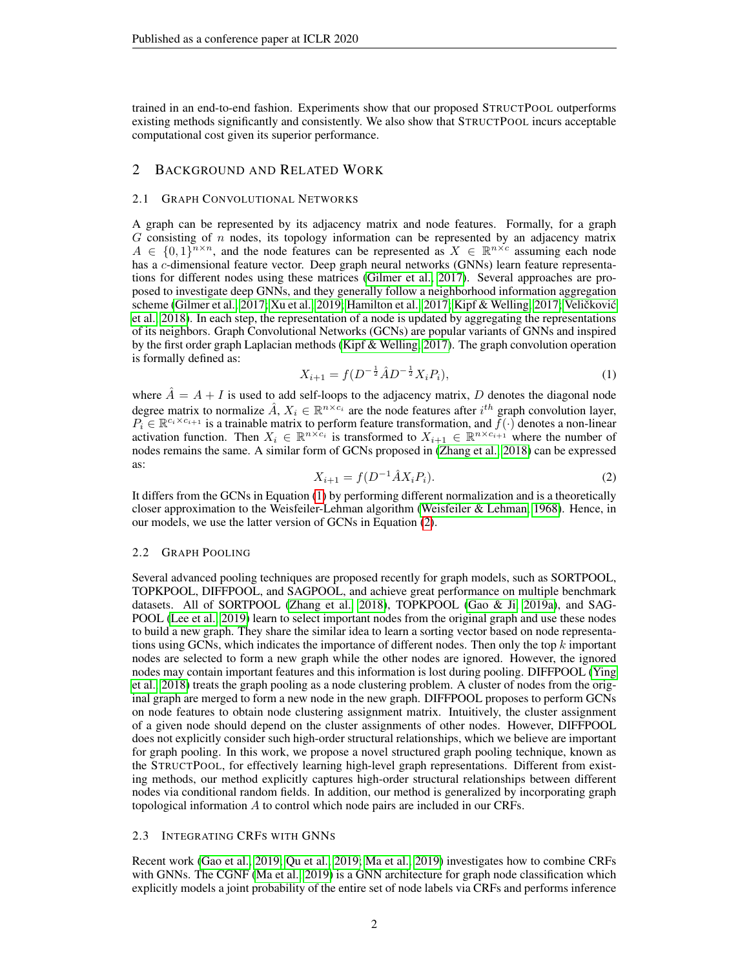trained in an end-to-end fashion. Experiments show that our proposed STRUCTPOOL outperforms existing methods significantly and consistently. We also show that STRUCTPOOL incurs acceptable computational cost given its superior performance.

# 2 BACKGROUND AND RELATED WORK

## 2.1 GRAPH CONVOLUTIONAL NETWORKS

A graph can be represented by its adjacency matrix and node features. Formally, for a graph  $G$  consisting of n nodes, its topology information can be represented by an adjacency matrix  $A \in \{0,1\}^{n \times n}$ , and the node features can be represented as  $X \in \mathbb{R}^{n \times c}$  assuming each node has a c-dimensional feature vector. Deep graph neural networks (GNNs) learn feature representations for different nodes using these matrices [\(Gilmer et al., 2017\)](#page-8-7). Several approaches are proposed to investigate deep GNNs, and they generally follow a neighborhood information aggregation scheme [\(Gilmer et al., 2017;](#page-8-7) [Xu et al., 2019;](#page-9-7) [Hamilton et al., 2017;](#page-8-8) [Kipf & Welling, 2017;](#page-8-9) Veličković [et al., 2018\)](#page-9-0). In each step, the representation of a node is updated by aggregating the representations of its neighbors. Graph Convolutional Networks (GCNs) are popular variants of GNNs and inspired by the first order graph Laplacian methods [\(Kipf & Welling, 2017\)](#page-8-9). The graph convolution operation is formally defined as:

<span id="page-1-0"></span>
$$
X_{i+1} = f(D^{-\frac{1}{2}}\hat{A}D^{-\frac{1}{2}}X_iP_i),\tag{1}
$$

where  $\hat{A} = A + I$  is used to add self-loops to the adjacency matrix, D denotes the diagonal node degree matrix to normalize  $\hat{A}$ ,  $X_i \in \mathbb{R}^{n \times c_i}$  are the node features after  $i^{th}$  graph convolution layer,  $P_i \in \mathbb{R}^{c_i \times c_{i+1}}$  is a trainable matrix to perform feature transformation, and  $f(\cdot)$  denotes a non-linear activation function. Then  $X_i \in \mathbb{R}^{n \times c_i}$  is transformed to  $X_{i+1} \in \mathbb{R}^{n \times c_{i+1}}$  where the number of nodes remains the same. A similar form of GCNs proposed in [\(Zhang et al., 2018\)](#page-9-5) can be expressed as:

<span id="page-1-1"></span>
$$
X_{i+1} = f(D^{-1}\hat{A}X_i P_i).
$$
 (2)

It differs from the GCNs in Equation [\(1\)](#page-1-0) by performing different normalization and is a theoretically closer approximation to the Weisfeiler-Lehman algorithm [\(Weisfeiler & Lehman, 1968\)](#page-9-8). Hence, in our models, we use the latter version of GCNs in Equation [\(2\)](#page-1-1).

## 2.2 GRAPH POOLING

Several advanced pooling techniques are proposed recently for graph models, such as SORTPOOL, TOPKPOOL, DIFFPOOL, and SAGPOOL, and achieve great performance on multiple benchmark datasets. All of SORTPOOL [\(Zhang et al., 2018\)](#page-9-5), TOPKPOOL [\(Gao & Ji, 2019a\)](#page-8-4), and SAG-POOL [\(Lee et al., 2019\)](#page-8-5) learn to select important nodes from the original graph and use these nodes to build a new graph. They share the similar idea to learn a sorting vector based on node representations using GCNs, which indicates the importance of different nodes. Then only the top  $k$  important nodes are selected to form a new graph while the other nodes are ignored. However, the ignored nodes may contain important features and this information is lost during pooling. DIFFPOOL [\(Ying](#page-9-6) [et al., 2018\)](#page-9-6) treats the graph pooling as a node clustering problem. A cluster of nodes from the original graph are merged to form a new node in the new graph. DIFFPOOL proposes to perform GCNs on node features to obtain node clustering assignment matrix. Intuitively, the cluster assignment of a given node should depend on the cluster assignments of other nodes. However, DIFFPOOL does not explicitly consider such high-order structural relationships, which we believe are important for graph pooling. In this work, we propose a novel structured graph pooling technique, known as the STRUCTPOOL, for effectively learning high-level graph representations. Different from existing methods, our method explicitly captures high-order structural relationships between different nodes via conditional random fields. In addition, our method is generalized by incorporating graph topological information A to control which node pairs are included in our CRFs.

## 2.3 INTEGRATING CRFS WITH GNNS

Recent work [\(Gao et al., 2019;](#page-8-10) [Qu et al., 2019;](#page-9-9) [Ma et al., 2019\)](#page-9-10) investigates how to combine CRFs with GNNs. The CGNF [\(Ma et al., 2019\)](#page-9-10) is a GNN architecture for graph node classification which explicitly models a joint probability of the entire set of node labels via CRFs and performs inference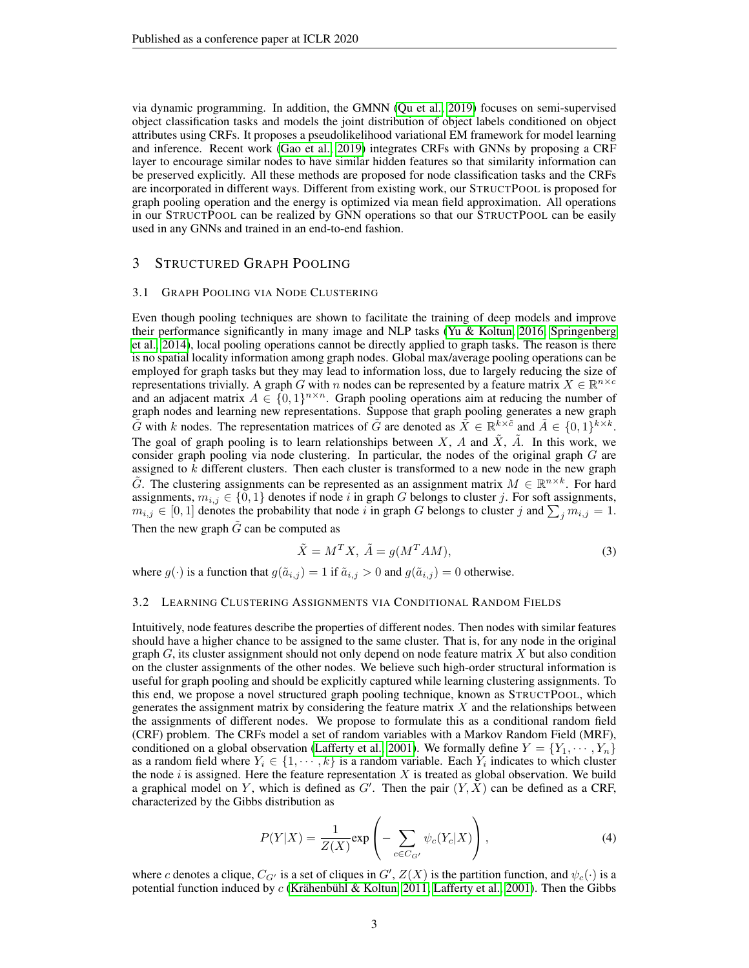via dynamic programming. In addition, the GMNN [\(Qu et al., 2019\)](#page-9-9) focuses on semi-supervised object classification tasks and models the joint distribution of object labels conditioned on object attributes using CRFs. It proposes a pseudolikelihood variational EM framework for model learning and inference. Recent work [\(Gao et al., 2019\)](#page-8-10) integrates CRFs with GNNs by proposing a CRF layer to encourage similar nodes to have similar hidden features so that similarity information can be preserved explicitly. All these methods are proposed for node classification tasks and the CRFs are incorporated in different ways. Different from existing work, our STRUCTPOOL is proposed for graph pooling operation and the energy is optimized via mean field approximation. All operations in our STRUCTPOOL can be realized by GNN operations so that our STRUCTPOOL can be easily used in any GNNs and trained in an end-to-end fashion.

# 3 STRUCTURED GRAPH POOLING

#### 3.1 GRAPH POOLING VIA NODE CLUSTERING

Even though pooling techniques are shown to facilitate the training of deep models and improve their performance significantly in many image and NLP tasks [\(Yu & Koltun, 2016;](#page-9-2) [Springenberg](#page-9-3) [et al., 2014\)](#page-9-3), local pooling operations cannot be directly applied to graph tasks. The reason is there is no spatial locality information among graph nodes. Global max/average pooling operations can be employed for graph tasks but they may lead to information loss, due to largely reducing the size of representations trivially. A graph G with n nodes can be represented by a feature matrix  $X \in \mathbb{R}^{n \times c}$ and an adjacent matrix  $A \in \{0,1\}^{n \times n}$ . Graph pooling operations aim at reducing the number of graph nodes and learning new representations. Suppose that graph pooling generates a new graph  $\tilde{G}$  with k nodes. The representation matrices of  $\tilde{G}$  are denoted as  $\tilde{X} \in \mathbb{R}^{k \times \tilde{c}}$  and  $\tilde{A} \in \{0,1\}^{k \times k}$ . The goal of graph pooling is to learn relationships between  $X$ ,  $\hat{A}$  and  $\hat{X}$ ,  $\hat{A}$ . In this work, we consider graph pooling via node clustering. In particular, the nodes of the original graph  $G$  are assigned to  $k$  different clusters. Then each cluster is transformed to a new node in the new graph  $\tilde{G}$ . The clustering assignments can be represented as an assignment matrix  $M \in \mathbb{R}^{n \times k}$ . For hard assignments,  $m_{i,j} \in \{0,1\}$  denotes if node i in graph G belongs to cluster j. For soft assignments,  $m_{i,j} \in [0,1]$  denotes the probability that node i in graph G belongs to cluster j and  $\sum_j m_{i,j} = 1$ . Then the new graph  $G$  can be computed as

$$
\tilde{X} = M^T X, \ \tilde{A} = g(M^T A M), \tag{3}
$$

where  $g(\cdot)$  is a function that  $g(\tilde{a}_{i,j}) = 1$  if  $\tilde{a}_{i,j} > 0$  and  $g(\tilde{a}_{i,j}) = 0$  otherwise.

#### 3.2 LEARNING CLUSTERING ASSIGNMENTS VIA CONDITIONAL RANDOM FIELDS

Intuitively, node features describe the properties of different nodes. Then nodes with similar features should have a higher chance to be assigned to the same cluster. That is, for any node in the original graph  $G$ , its cluster assignment should not only depend on node feature matrix  $X$  but also condition on the cluster assignments of the other nodes. We believe such high-order structural information is useful for graph pooling and should be explicitly captured while learning clustering assignments. To this end, we propose a novel structured graph pooling technique, known as STRUCTPOOL, which generates the assignment matrix by considering the feature matrix  $X$  and the relationships between the assignments of different nodes. We propose to formulate this as a conditional random field (CRF) problem. The CRFs model a set of random variables with a Markov Random Field (MRF), conditioned on a global observation [\(Lafferty et al., 2001\)](#page-8-6). We formally define  $Y = \{Y_1, \dots, Y_n\}$ as a random field where  $Y_i \in \{1, \dots, k\}$  is a random variable. Each  $Y_i$  indicates to which cluster the node  $i$  is assigned. Here the feature representation  $X$  is treated as global observation. We build a graphical model on Y, which is defined as G'. Then the pair  $(Y, \tilde{X})$  can be defined as a CRF, characterized by the Gibbs distribution as

$$
P(Y|X) = \frac{1}{Z(X)} \exp\left(-\sum_{c \in C_{G'}} \psi_c(Y_c|X)\right),\tag{4}
$$

where c denotes a clique,  $C_{G'}$  is a set of cliques in  $G'$ ,  $Z(X)$  is the partition function, and  $\psi_c(\cdot)$  is a potential function induced by  $c$  (Krähenbühl & Koltun, 2011; [Lafferty et al., 2001\)](#page-8-6). Then the Gibbs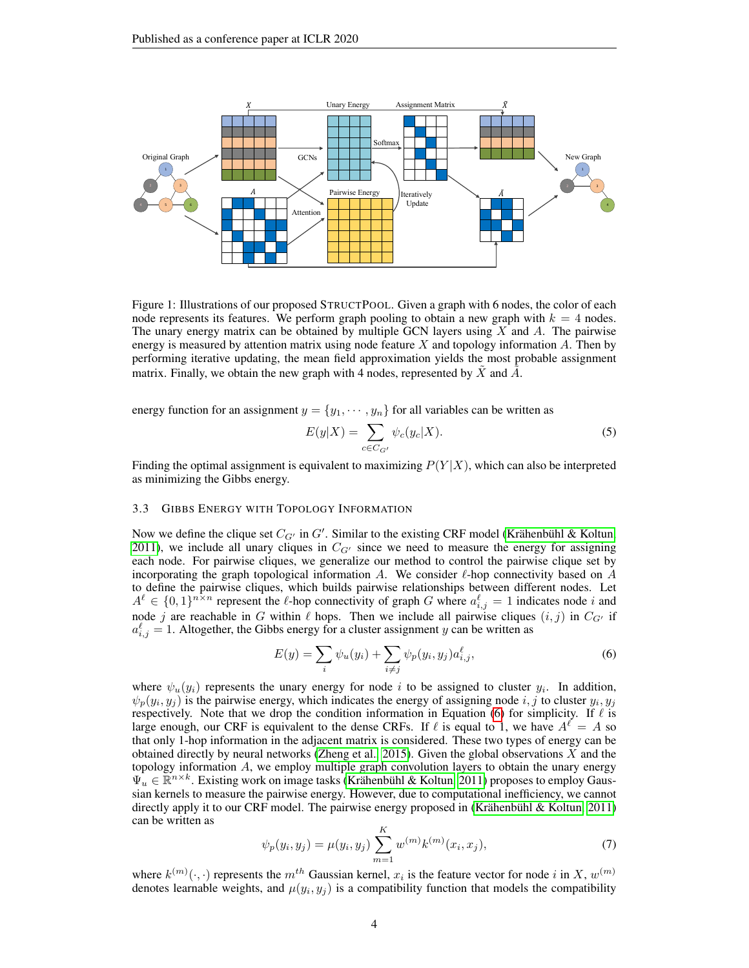

Figure 1: Illustrations of our proposed STRUCTPOOL. Given a graph with 6 nodes, the color of each node represents its features. We perform graph pooling to obtain a new graph with  $k = 4$  nodes. The unary energy matrix can be obtained by multiple GCN layers using  $X$  and  $A$ . The pairwise energy is measured by attention matrix using node feature  $X$  and topology information  $A$ . Then by performing iterative updating, the mean field approximation yields the most probable assignment matrix. Finally, we obtain the new graph with 4 nodes, represented by  $X$  and  $A$ .

energy function for an assignment  $y = \{y_1, \dots, y_n\}$  for all variables can be written as

<span id="page-3-1"></span>
$$
E(y|X) = \sum_{c \in C_{G'}} \psi_c(y_c|X).
$$
 (5)

Finding the optimal assignment is equivalent to maximizing  $P(Y|X)$ , which can also be interpreted as minimizing the Gibbs energy.

#### 3.3 GIBBS ENERGY WITH TOPOLOGY INFORMATION

Now we define the clique set  $C_{G'}$  in  $G'$ . Similar to the existing CRF model (Krähenbühl & Koltun, [2011\)](#page-8-11), we include all unary cliques in  $C_{G'}$  since we need to measure the energy for assigning each node. For pairwise cliques, we generalize our method to control the pairwise clique set by incorporating the graph topological information A. We consider  $\ell$ -hop connectivity based on A to define the pairwise cliques, which builds pairwise relationships between different nodes. Let  $A^{\ell} \in \{0,1\}^{n \times n}$  represent the  $\ell$ -hop connectivity of graph G where  $a_{i,j}^{\ell} = 1$  indicates node i and node j are reachable in G within  $\ell$  hops. Then we include all pairwise cliques  $(i, j)$  in  $C_{G'}$  if  $a_{i,j}^{\ell} = 1$ . Altogether, the Gibbs energy for a cluster assignment y can be written as

<span id="page-3-0"></span>
$$
E(y) = \sum_{i} \psi_u(y_i) + \sum_{i \neq j} \psi_p(y_i, y_j) a_{i,j}^{\ell}, \tag{6}
$$

where  $\psi_u(y_i)$  represents the unary energy for node i to be assigned to cluster  $y_i$ . In addition,  $\psi_p(y_i, y_j)$  is the pairwise energy, which indicates the energy of assigning node i, j to cluster  $y_i, y_j$ respectively. Note that we drop the condition information in Equation [\(6\)](#page-3-0) for simplicity. If  $\ell$  is large enough, our CRF is equivalent to the dense CRFs. If  $\ell$  is equal to 1, we have  $A^{\ell} = A$  so that only 1-hop information in the adjacent matrix is considered. These two types of energy can be obtained directly by neural networks [\(Zheng et al., 2015\)](#page-9-11). Given the global observations  $X$  and the topology information A, we employ multiple graph convolution layers to obtain the unary energy  $\Psi_u \in \mathbb{R}^{n \times k}$ . Existing work on image tasks (Krähenbühl & Koltun, 2011) proposes to employ Gaussian kernels to measure the pairwise energy. However, due to computational inefficiency, we cannot directly apply it to our CRF model. The pairwise energy proposed in (Krähenbühl & Koltun, 2011) can be written as

$$
\psi_p(y_i, y_j) = \mu(y_i, y_j) \sum_{m=1}^{K} w^{(m)} k^{(m)}(x_i, x_j), \tag{7}
$$

where  $k^{(m)}(\cdot, \cdot)$  represents the  $m^{th}$  Gaussian kernel,  $x_i$  is the feature vector for node i in X,  $w^{(m)}$ denotes learnable weights, and  $\mu(y_i, y_j)$  is a compatibility function that models the compatibility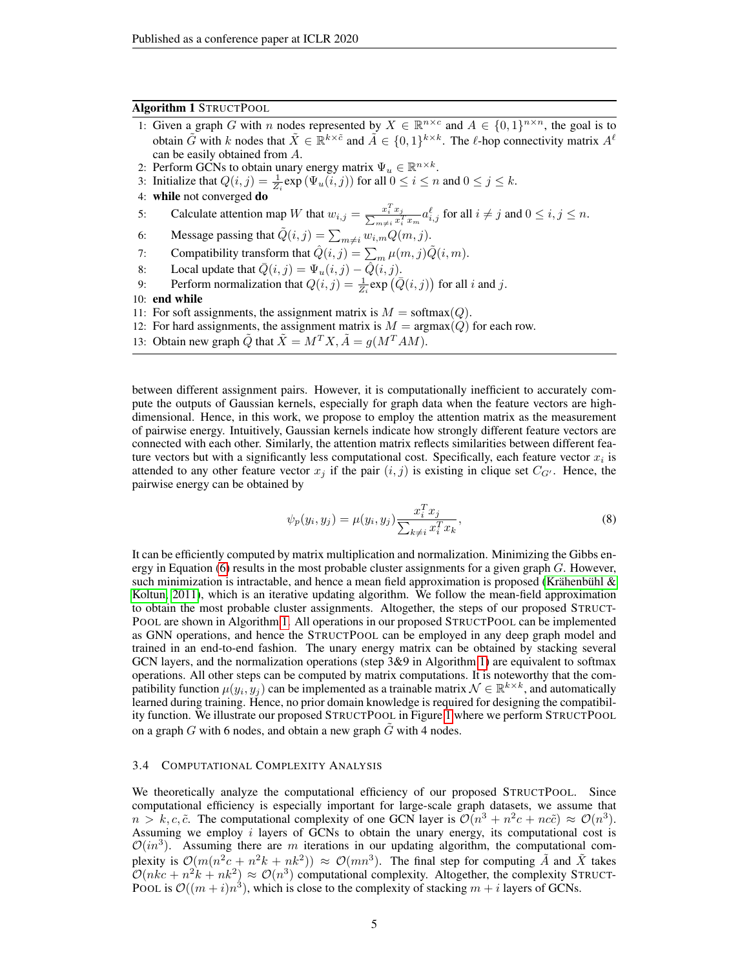## Algorithm 1 STRUCTPOOL

- <span id="page-4-0"></span>1: Given a graph G with n nodes represented by  $X \in \mathbb{R}^{n \times c}$  and  $A \in \{0,1\}^{n \times n}$ , the goal is to obtain  $\tilde{G}$  with k nodes that  $\tilde{X} \in \mathbb{R}^{k \times \tilde{c}}$  and  $\tilde{A} \in \{0,1\}^{k \times k}$ . The  $\ell$ -hop connectivity matrix  $A^{\ell}$ can be easily obtained from A.
- 2: Perform GCNs to obtain unary energy matrix  $\Psi_u \in \mathbb{R}^{n \times k}$ .
- 3: Initialize that  $Q(i, j) = \frac{1}{Z_i} \exp(\Psi_u(i, j))$  for all  $0 \le i \le n$  and  $0 \le j \le k$ .
- 4: while not converged do
- 5: Calculate attention map W that  $w_{i,j} = \frac{x_i^T x_j}{\sum_{m \neq i} x_i^T x_m} a_{i,j}^\ell$  for all  $i \neq j$  and  $0 \leq i, j \leq n$ .
- 6: Message passing that  $\tilde{Q}(i, j) = \sum_{m \neq i} w_{i,m} Q(m, j)$ .
- 7: Compatibility transform that  $\hat{Q}(i, j) = \sum_m \mu(m, j) \tilde{Q}(i, m)$ .
- 8: Local update that  $\overline{Q}(i, j) = \Psi_u(i, j) \hat{Q}(i, j)$ .
- 9: Perform normalization that  $Q(i, j) = \frac{1}{Z_i} \exp(\overline{Q}(i, j))$  for all i and j.

10: end while

- 11: For soft assignments, the assignment matrix is  $M = \text{softmax}(Q)$ .
- 12: For hard assignments, the assignment matrix is  $M = \text{argmax}(Q)$  for each row.
- 13: Obtain new graph  $\tilde{Q}$  that  $\tilde{X} = M^T X$ ,  $\tilde{A} = g(M^T A M)$ .

between different assignment pairs. However, it is computationally inefficient to accurately compute the outputs of Gaussian kernels, especially for graph data when the feature vectors are highdimensional. Hence, in this work, we propose to employ the attention matrix as the measurement of pairwise energy. Intuitively, Gaussian kernels indicate how strongly different feature vectors are connected with each other. Similarly, the attention matrix reflects similarities between different feature vectors but with a significantly less computational cost. Specifically, each feature vector  $x_i$  is attended to any other feature vector  $x_j$  if the pair  $(i, j)$  is existing in clique set  $C_{G'}$ . Hence, the pairwise energy can be obtained by

$$
\psi_p(y_i, y_j) = \mu(y_i, y_j) \frac{x_i^T x_j}{\sum_{k \neq i} x_i^T x_k},\tag{8}
$$

It can be efficiently computed by matrix multiplication and normalization. Minimizing the Gibbs en-ergy in Equation [\(6\)](#page-3-0) results in the most probable cluster assignments for a given graph G. However, such minimization is intractable, and hence a mean field approximation is proposed (Krähenbühl & [Koltun, 2011\)](#page-8-11), which is an iterative updating algorithm. We follow the mean-field approximation to obtain the most probable cluster assignments. Altogether, the steps of our proposed STRUCT-POOL are shown in Algorithm [1.](#page-4-0) All operations in our proposed STRUCTPOOL can be implemented as GNN operations, and hence the STRUCTPOOL can be employed in any deep graph model and trained in an end-to-end fashion. The unary energy matrix can be obtained by stacking several GCN layers, and the normalization operations (step 3&9 in Algorithm [1\)](#page-4-0) are equivalent to softmax operations. All other steps can be computed by matrix computations. It is noteworthy that the compatibility function  $\mu(y_i, y_j)$  can be implemented as a trainable matrix  $\mathcal{N} \in \mathbb{R}^{k \times k}$ , and automatically learned during training. Hence, no prior domain knowledge is required for designing the compatibility function. We illustrate our proposed STRUCTPOOL in Figure [1](#page-3-1) where we perform STRUCTPOOL on a graph  $G$  with 6 nodes, and obtain a new graph  $\tilde{G}$  with 4 nodes.

## <span id="page-4-1"></span>3.4 COMPUTATIONAL COMPLEXITY ANALYSIS

We theoretically analyze the computational efficiency of our proposed STRUCTPOOL. Since computational efficiency is especially important for large-scale graph datasets, we assume that  $n > k, c, \tilde{c}$ . The computational complexity of one GCN layer is  $\mathcal{O}(n^3 + n^2c + nc\tilde{c}) \approx \mathcal{O}(n^3)$ . Assuming we employ  $i$  layers of GCNs to obtain the unary energy, its computational cost is  $\mathcal{O}(in^3)$ . Assuming there are m iterations in our updating algorithm, the computational complexity is  $\mathcal{O}(m(n^2c + n^2k + nk^2)) \approx \mathcal{O}(mn^3)$ . The final step for computing  $\tilde{A}$  and  $\tilde{X}$  takes  $\mathcal{O}(nkc + n^2k + nk^2) \approx \mathcal{O}(n^3)$  computational complexity. Altogether, the complexity STRUCT-POOL is  $\mathcal{O}((m+i)n^3)$ , which is close to the complexity of stacking  $m+i$  layers of GCNs.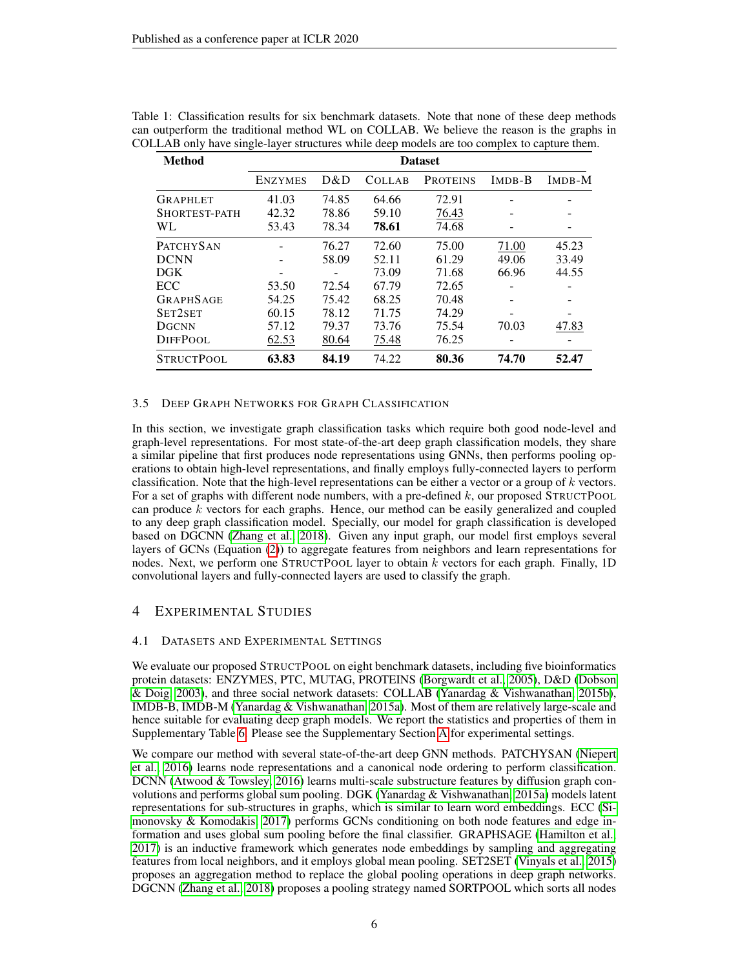| <b>Method</b>     |                |       |               | <b>Dataset</b>  |        |        |
|-------------------|----------------|-------|---------------|-----------------|--------|--------|
|                   | <b>ENZYMES</b> | D&D   | <b>COLLAB</b> | <b>PROTEINS</b> | IMDB-B | IMDB-M |
| GRAPHLET          | 41.03          | 74.85 | 64.66         | 72.91           |        |        |
| SHORTEST-PATH     | 42.32          | 78.86 | 59.10         | 76.43           |        |        |
| WL.               | 53.43          | 78.34 | 78.61         | 74.68           |        |        |
| <b>PATCHYSAN</b>  |                | 76.27 | 72.60         | 75.00           | 71.00  | 45.23  |
| <b>DCNN</b>       |                | 58.09 | 52.11         | 61.29           | 49.06  | 33.49  |
| <b>DGK</b>        |                |       | 73.09         | 71.68           | 66.96  | 44.55  |
| ECC               | 53.50          | 72.54 | 67.79         | 72.65           |        |        |
| <b>GRAPHSAGE</b>  | 54.25          | 75.42 | 68.25         | 70.48           |        | -      |
| SET2SET           | 60.15          | 78.12 | 71.75         | 74.29           |        |        |
| <b>DGCNN</b>      | 57.12          | 79.37 | 73.76         | 75.54           | 70.03  | 47.83  |
| <b>DIFFPOOL</b>   | 62.53          | 80.64 | 75.48         | 76.25           |        |        |
| <b>STRUCTPOOL</b> | 63.83          | 84.19 | 74.22         | 80.36           | 74.70  | 52.47  |

<span id="page-5-0"></span>

| Table 1: Classification results for six benchmark datasets. Note that none of these deep methods |
|--------------------------------------------------------------------------------------------------|
| can outperform the traditional method WL on COLLAB. We believe the reason is the graphs in       |
| COLLAB only have single-layer structures while deep models are too complex to capture them.      |

## <span id="page-5-1"></span>3.5 DEEP GRAPH NETWORKS FOR GRAPH CLASSIFICATION

In this section, we investigate graph classification tasks which require both good node-level and graph-level representations. For most state-of-the-art deep graph classification models, they share a similar pipeline that first produces node representations using GNNs, then performs pooling operations to obtain high-level representations, and finally employs fully-connected layers to perform classification. Note that the high-level representations can be either a vector or a group of  $k$  vectors. For a set of graphs with different node numbers, with a pre-defined  $k$ , our proposed STRUCTPOOL can produce  $k$  vectors for each graphs. Hence, our method can be easily generalized and coupled to any deep graph classification model. Specially, our model for graph classification is developed based on DGCNN [\(Zhang et al., 2018\)](#page-9-5). Given any input graph, our model first employs several layers of GCNs (Equation [\(2\)](#page-1-1)) to aggregate features from neighbors and learn representations for nodes. Next, we perform one STRUCTPOOL layer to obtain  $k$  vectors for each graph. Finally, 1D convolutional layers and fully-connected layers are used to classify the graph.

# 4 EXPERIMENTAL STUDIES

## 4.1 DATASETS AND EXPERIMENTAL SETTINGS

We evaluate our proposed STRUCTPOOL on eight benchmark datasets, including five bioinformatics protein datasets: ENZYMES, PTC, MUTAG, PROTEINS [\(Borgwardt et al., 2005\)](#page-8-12), D&D [\(Dobson](#page-8-13) [& Doig, 2003\)](#page-8-13), and three social network datasets: COLLAB [\(Yanardag & Vishwanathan, 2015b\)](#page-9-12), IMDB-B, IMDB-M [\(Yanardag & Vishwanathan, 2015a\)](#page-9-13). Most of them are relatively large-scale and hence suitable for evaluating deep graph models. We report the statistics and properties of them in Supplementary Table [6.](#page-10-0) Please see the Supplementary Section [A](#page-10-1) for experimental settings.

We compare our method with several state-of-the-art deep GNN methods. PATCHYSAN [\(Niepert](#page-9-14) [et al., 2016\)](#page-9-14) learns node representations and a canonical node ordering to perform classification. DCNN [\(Atwood & Towsley, 2016\)](#page-8-3) learns multi-scale substructure features by diffusion graph convolutions and performs global sum pooling. DGK [\(Yanardag & Vishwanathan, 2015a\)](#page-9-13) models latent representations for sub-structures in graphs, which is similar to learn word embeddings. ECC [\(Si](#page-9-4)[monovsky & Komodakis, 2017\)](#page-9-4) performs GCNs conditioning on both node features and edge information and uses global sum pooling before the final classifier. GRAPHSAGE [\(Hamilton et al.,](#page-8-8) [2017\)](#page-8-8) is an inductive framework which generates node embeddings by sampling and aggregating features from local neighbors, and it employs global mean pooling. SET2SET [\(Vinyals et al., 2015\)](#page-9-15) proposes an aggregation method to replace the global pooling operations in deep graph networks. DGCNN [\(Zhang et al., 2018\)](#page-9-5) proposes a pooling strategy named SORTPOOL which sorts all nodes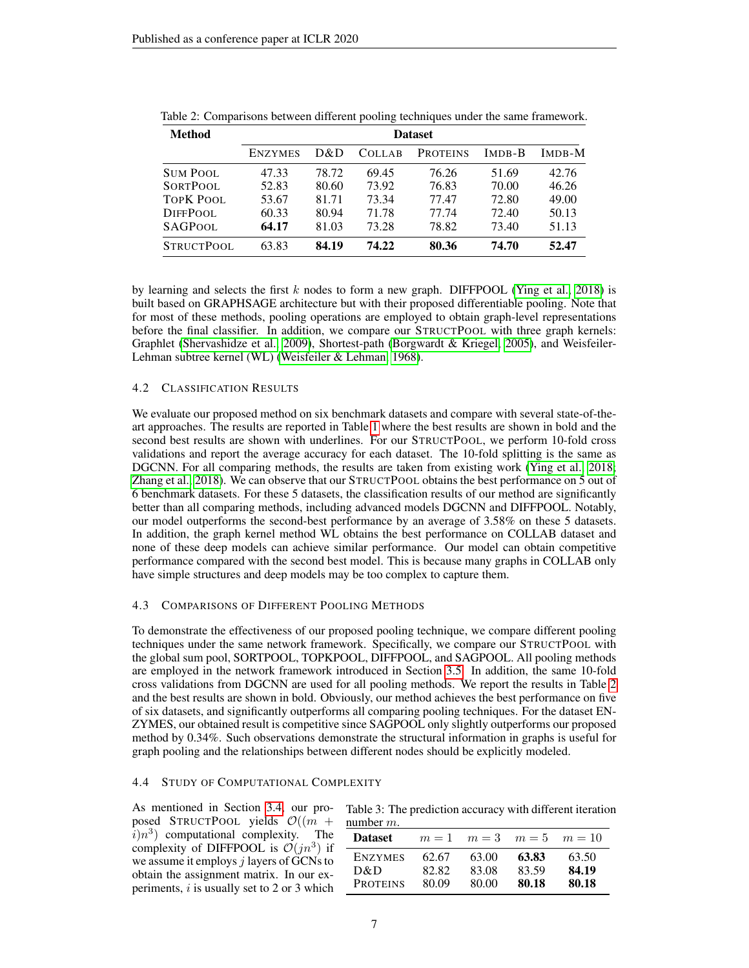| <b>Method</b> | <b>Dataset</b> |       |               |                 |               |        |  |
|---------------|----------------|-------|---------------|-----------------|---------------|--------|--|
|               | <b>ENZYMES</b> | D&D   | <b>COLLAB</b> | <b>PROTEINS</b> | <b>IMDB-B</b> | IMDB-M |  |
| Sum Pool      | 47.33          | 78.72 | 69.45         | 76.26           | 51.69         | 42.76  |  |
| SORTPOOL      | 52.83          | 80.60 | 73.92         | 76.83           | 70.00         | 46.26  |  |
| TOPK POOL     | 53.67          | 81.71 | 73.34         | 77.47           | 72.80         | 49.00  |  |
| DiffPool.     | 60.33          | 80.94 | 71.78         | 77.74           | 72.40         | 50.13  |  |
| SAGPOOL       | 64.17          | 81.03 | 73.28         | 78.82           | 73.40         | 51.13  |  |
| STRUCTPOOL    | 63.83          | 84.19 | 74.22         | 80.36           | 74.70         | 52.47  |  |

<span id="page-6-0"></span>Table 2: Comparisons between different pooling techniques under the same framework.

by learning and selects the first k nodes to form a new graph. DIFFPOOL [\(Ying et al., 2018\)](#page-9-6) is built based on GRAPHSAGE architecture but with their proposed differentiable pooling. Note that for most of these methods, pooling operations are employed to obtain graph-level representations before the final classifier. In addition, we compare our STRUCTPOOL with three graph kernels: Graphlet [\(Shervashidze et al., 2009\)](#page-9-16), Shortest-path [\(Borgwardt & Kriegel, 2005\)](#page-8-14), and Weisfeiler-Lehman subtree kernel (WL) [\(Weisfeiler & Lehman, 1968\)](#page-9-8).

## <span id="page-6-2"></span>4.2 CLASSIFICATION RESULTS

We evaluate our proposed method on six benchmark datasets and compare with several state-of-theart approaches. The results are reported in Table [1](#page-5-0) where the best results are shown in bold and the second best results are shown with underlines. For our STRUCTPOOL, we perform 10-fold cross validations and report the average accuracy for each dataset. The 10-fold splitting is the same as DGCNN. For all comparing methods, the results are taken from existing work [\(Ying et al., 2018;](#page-9-6) [Zhang et al., 2018\)](#page-9-5). We can observe that our STRUCTPOOL obtains the best performance on 5 out of 6 benchmark datasets. For these 5 datasets, the classification results of our method are significantly better than all comparing methods, including advanced models DGCNN and DIFFPOOL. Notably, our model outperforms the second-best performance by an average of 3.58% on these 5 datasets. In addition, the graph kernel method WL obtains the best performance on COLLAB dataset and none of these deep models can achieve similar performance. Our model can obtain competitive performance compared with the second best model. This is because many graphs in COLLAB only have simple structures and deep models may be too complex to capture them.

## <span id="page-6-3"></span>4.3 COMPARISONS OF DIFFERENT POOLING METHODS

To demonstrate the effectiveness of our proposed pooling technique, we compare different pooling techniques under the same network framework. Specifically, we compare our STRUCTPOOL with the global sum pool, SORTPOOL, TOPKPOOL, DIFFPOOL, and SAGPOOL. All pooling methods are employed in the network framework introduced in Section [3.5.](#page-5-1) In addition, the same 10-fold cross validations from DGCNN are used for all pooling methods. We report the results in Table [2](#page-6-0) and the best results are shown in bold. Obviously, our method achieves the best performance on five of six datasets, and significantly outperforms all comparing pooling techniques. For the dataset EN-ZYMES, our obtained result is competitive since SAGPOOL only slightly outperforms our proposed method by 0.34%. Such observations demonstrate the structural information in graphs is useful for graph pooling and the relationships between different nodes should be explicitly modeled.

## <span id="page-6-4"></span>4.4 STUDY OF COMPUTATIONAL COMPLEXITY

As mentioned in Section [3.4,](#page-4-1) our proposed STRUCTPOOL yields  $\mathcal{O}((m +$  $\overline{i}$ ) $n^3$ ) computational complexity. The complexity of DIFFPOOL is  $\mathcal{O}(jn^3)$  if we assume it employs  $j$  layers of GCNs to obtain the assignment matrix. In our experiments,  $i$  is usually set to 2 or 3 which

<span id="page-6-1"></span>Table 3: The prediction accuracy with different iteration number m.

| <b>Dataset</b>  | $m=1$ | $m=3$ | $m=5$ | $m=10$ |
|-----------------|-------|-------|-------|--------|
| <b>ENZYMES</b>  | 62.67 | 63.00 | 63.83 | 63.50  |
| D&D             | 82.82 | 83.08 | 83.59 | 84.19  |
| <b>PROTEINS</b> | 80.09 | 80.00 | 80.18 | 80.18  |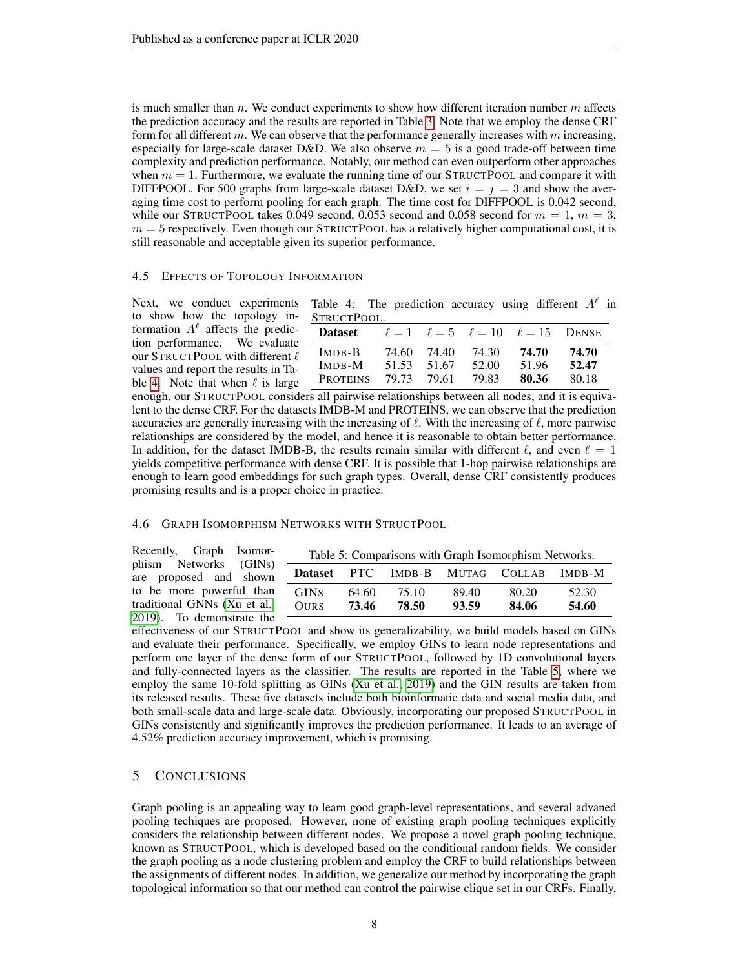is much smaller than  $n$ . We conduct experiments to show how different iteration number  $m$  affects the prediction accuracy and the results are reported in Table [3.](#page-6-1) Note that we employ the dense CRF form for all different  $m$ . We can observe that the performance generally increases with  $m$  increasing, especially for large-scale dataset D&D. We also observe  $m = 5$  is a good trade-off between time complexity and prediction performance. Notably, our method can even outperform other approaches when  $m = 1$ . Furthermore, we evaluate the running time of our STRUCTPOOL and compare it with DIFFPOOL. For 500 graphs from large-scale dataset D&D, we set  $i = j = 3$  and show the averaging time cost to perform pooling for each graph. The time cost for DIFFPOOL is 0.042 second, while our STRUCTPOOL takes 0.049 second, 0.053 second and 0.058 second for  $m = 1$ ,  $m = 3$ ,  $m = 5$  respectively. Even though our STRUCTPOOL has a relatively higher computational cost, it is still reasonable and acceptable given its superior performance.

#### <span id="page-7-2"></span>4.5 EFFECTS OF TOPOLOGY INFORMATION

Next, we conduct experiments to show how the topology information  $A^{\ell}$  affects the prediction performance. We evaluate our STRUCTPOOL with different  $\ell$ values and report the results in Ta-ble [4.](#page-7-0) Note that when  $\ell$  is large

<span id="page-7-0"></span>Table 4: The prediction accuracy using different  $A^{\ell}$  in STRUCTPOOL.

| Dataset         |       |       |       | $\ell = 1$ $\ell = 5$ $\ell = 10$ $\ell = 15$ DENSE |       |
|-----------------|-------|-------|-------|-----------------------------------------------------|-------|
| IMDB-B          | 74.60 | 74.40 | 74.30 | 74.70                                               | 74.70 |
| IMDB-M          | 51.53 | 51.67 | 52.00 | 51.96                                               | 52.47 |
| <b>PROTEINS</b> | 79.73 | 79.61 | 79.83 | 80.36                                               | 80.18 |

enough, our STRUCTPOOL considers all pairwise relationships between all nodes, and it is equivalent to the dense CRF. For the datasets IMDB-M and PROTEINS, we can observe that the prediction accuracies are generally increasing with the increasing of  $\ell$ . With the increasing of  $\ell$ , more pairwise relationships are considered by the model, and hence it is reasonable to obtain better performance. In addition, for the dataset IMDB-B, the results remain similar with different  $\ell$ , and even  $\ell = 1$ yields competitive performance with dense CRF. It is possible that 1-hop pairwise relationships are enough to learn good embeddings for such graph types. Overall, dense CRF consistently produces promising results and is a proper choice in practice.

#### <span id="page-7-3"></span>4.6 GRAPH ISOMORPHISM NETWORKS WITH STRUCTPOOL

<span id="page-7-1"></span>

| Recently, Graph Isomor-                                  |                            |                |                |                | Table 5: Comparisons with Graph Isomorphism Networks. |                |
|----------------------------------------------------------|----------------------------|----------------|----------------|----------------|-------------------------------------------------------|----------------|
| phism Networks (GINs)<br>are proposed and shown          |                            |                |                |                | Dataset PTC IMDB-B MUTAG COLLAB IMDB-M                |                |
| to be more powerful than<br>traditional GNNs (Xu et al., | <b>GINS</b><br><b>OURS</b> | 64.60<br>73.46 | 75.10<br>78.50 | 89.40<br>93.59 | 80.20<br>84.06                                        | 52.30<br>54.60 |
| 2019). To demonstrate the                                |                            |                |                |                |                                                       |                |

effectiveness of our STRUCTPOOL and show its generalizability, we build models based on GINs and evaluate their performance. Specifically, we employ GINs to learn node representations and perform one layer of the dense form of our STRUCTPOOL, followed by 1D convolutional layers and fully-connected layers as the classifier. The results are reported in the Table [5,](#page-7-1) where we employ the same 10-fold splitting as GINs [\(Xu et al., 2019\)](#page-9-7) and the GIN results are taken from its released results. These five datasets include both bioinformatic data and social media data, and both small-scale data and large-scale data. Obviously, incorporating our proposed STRUCTPOOL in GINs consistently and significantly improves the prediction performance. It leads to an average of 4.52% prediction accuracy improvement, which is promising.

## 5 CONCLUSIONS

Graph pooling is an appealing way to learn good graph-level representations, and several advaned pooling techiques are proposed. However, none of existing graph pooling techniques explicitly considers the relationship between different nodes. We propose a novel graph pooling technique, known as STRUCTPOOL, which is developed based on the conditional random fields. We consider the graph pooling as a node clustering problem and employ the CRF to build relationships between the assignments of different nodes. In addition, we generalize our method by incorporating the graph topological information so that our method can control the pairwise clique set in our CRFs. Finally,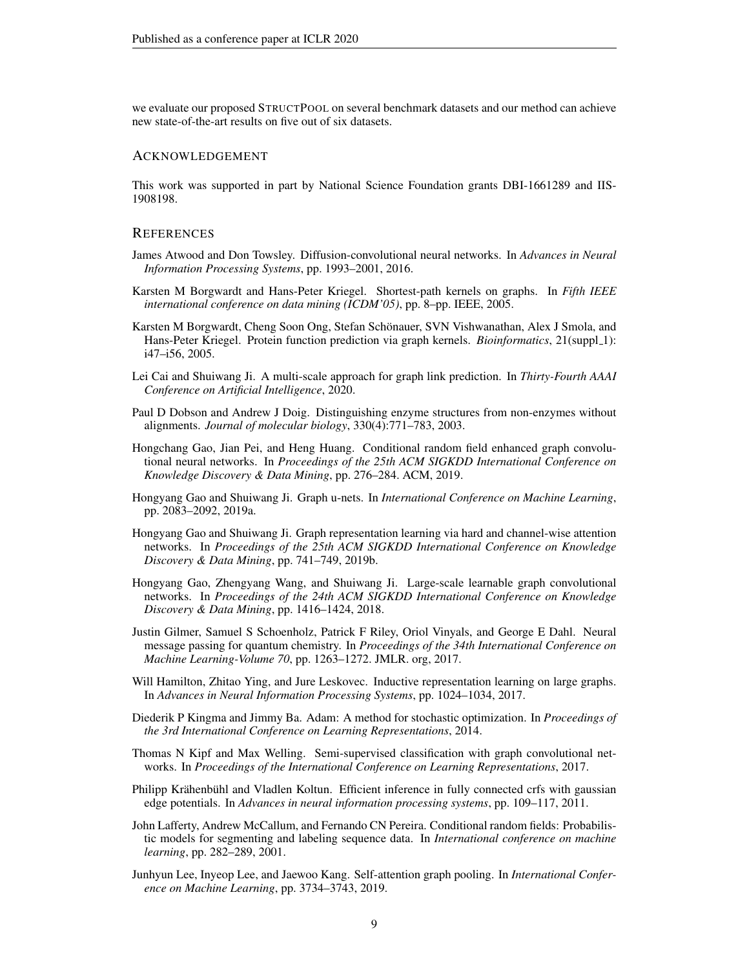we evaluate our proposed STRUCTPOOL on several benchmark datasets and our method can achieve new state-of-the-art results on five out of six datasets.

## ACKNOWLEDGEMENT

This work was supported in part by National Science Foundation grants DBI-1661289 and IIS-1908198.

#### **REFERENCES**

- <span id="page-8-3"></span>James Atwood and Don Towsley. Diffusion-convolutional neural networks. In *Advances in Neural Information Processing Systems*, pp. 1993–2001, 2016.
- <span id="page-8-14"></span>Karsten M Borgwardt and Hans-Peter Kriegel. Shortest-path kernels on graphs. In *Fifth IEEE international conference on data mining (ICDM'05)*, pp. 8–pp. IEEE, 2005.
- <span id="page-8-12"></span>Karsten M Borgwardt, Cheng Soon Ong, Stefan Schönauer, SVN Vishwanathan, Alex J Smola, and Hans-Peter Kriegel. Protein function prediction via graph kernels. *Bioinformatics*, 21(suppl\_1): i47–i56, 2005.
- <span id="page-8-2"></span>Lei Cai and Shuiwang Ji. A multi-scale approach for graph link prediction. In *Thirty-Fourth AAAI Conference on Artificial Intelligence*, 2020.
- <span id="page-8-13"></span>Paul D Dobson and Andrew J Doig. Distinguishing enzyme structures from non-enzymes without alignments. *Journal of molecular biology*, 330(4):771–783, 2003.
- <span id="page-8-10"></span>Hongchang Gao, Jian Pei, and Heng Huang. Conditional random field enhanced graph convolutional neural networks. In *Proceedings of the 25th ACM SIGKDD International Conference on Knowledge Discovery & Data Mining*, pp. 276–284. ACM, 2019.
- <span id="page-8-4"></span>Hongyang Gao and Shuiwang Ji. Graph u-nets. In *International Conference on Machine Learning*, pp. 2083–2092, 2019a.
- <span id="page-8-0"></span>Hongyang Gao and Shuiwang Ji. Graph representation learning via hard and channel-wise attention networks. In *Proceedings of the 25th ACM SIGKDD International Conference on Knowledge Discovery & Data Mining*, pp. 741–749, 2019b.
- <span id="page-8-1"></span>Hongyang Gao, Zhengyang Wang, and Shuiwang Ji. Large-scale learnable graph convolutional networks. In *Proceedings of the 24th ACM SIGKDD International Conference on Knowledge Discovery & Data Mining*, pp. 1416–1424, 2018.
- <span id="page-8-7"></span>Justin Gilmer, Samuel S Schoenholz, Patrick F Riley, Oriol Vinyals, and George E Dahl. Neural message passing for quantum chemistry. In *Proceedings of the 34th International Conference on Machine Learning-Volume 70*, pp. 1263–1272. JMLR. org, 2017.
- <span id="page-8-8"></span>Will Hamilton, Zhitao Ying, and Jure Leskovec. Inductive representation learning on large graphs. In *Advances in Neural Information Processing Systems*, pp. 1024–1034, 2017.
- <span id="page-8-15"></span>Diederik P Kingma and Jimmy Ba. Adam: A method for stochastic optimization. In *Proceedings of the 3rd International Conference on Learning Representations*, 2014.
- <span id="page-8-9"></span>Thomas N Kipf and Max Welling. Semi-supervised classification with graph convolutional networks. In *Proceedings of the International Conference on Learning Representations*, 2017.
- <span id="page-8-11"></span>Philipp Krähenbühl and Vladlen Koltun. Efficient inference in fully connected crfs with gaussian edge potentials. In *Advances in neural information processing systems*, pp. 109–117, 2011.
- <span id="page-8-6"></span>John Lafferty, Andrew McCallum, and Fernando CN Pereira. Conditional random fields: Probabilistic models for segmenting and labeling sequence data. In *International conference on machine learning*, pp. 282–289, 2001.
- <span id="page-8-5"></span>Junhyun Lee, Inyeop Lee, and Jaewoo Kang. Self-attention graph pooling. In *International Conference on Machine Learning*, pp. 3734–3743, 2019.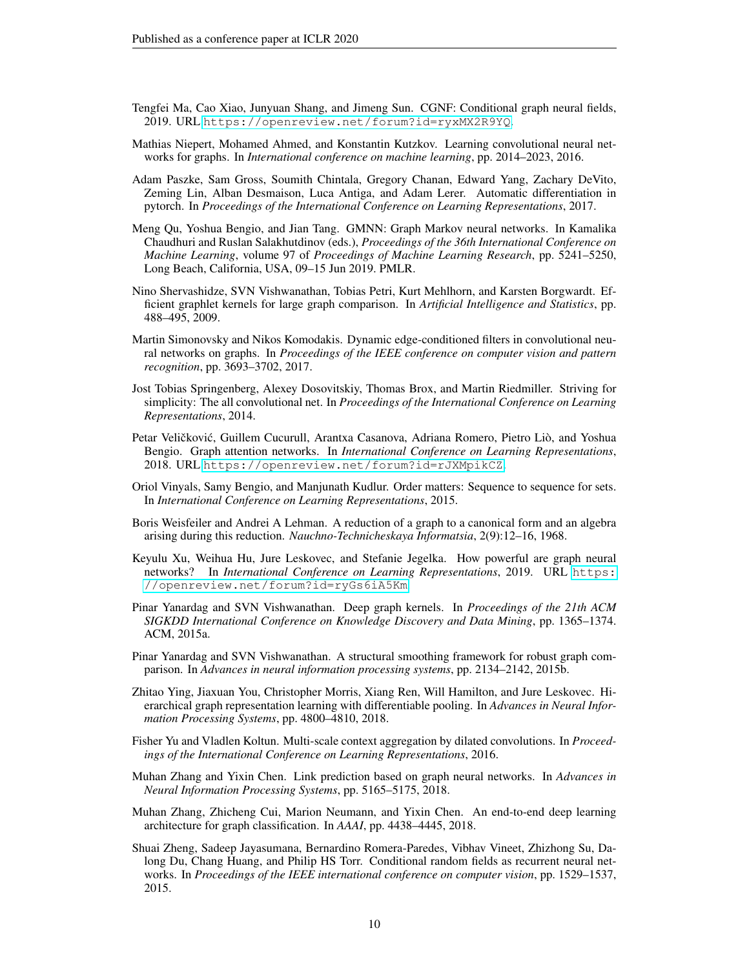- <span id="page-9-10"></span>Tengfei Ma, Cao Xiao, Junyuan Shang, and Jimeng Sun. CGNF: Conditional graph neural fields, 2019. URL <https://openreview.net/forum?id=ryxMX2R9YQ>.
- <span id="page-9-14"></span>Mathias Niepert, Mohamed Ahmed, and Konstantin Kutzkov. Learning convolutional neural networks for graphs. In *International conference on machine learning*, pp. 2014–2023, 2016.
- <span id="page-9-17"></span>Adam Paszke, Sam Gross, Soumith Chintala, Gregory Chanan, Edward Yang, Zachary DeVito, Zeming Lin, Alban Desmaison, Luca Antiga, and Adam Lerer. Automatic differentiation in pytorch. In *Proceedings of the International Conference on Learning Representations*, 2017.
- <span id="page-9-9"></span>Meng Qu, Yoshua Bengio, and Jian Tang. GMNN: Graph Markov neural networks. In Kamalika Chaudhuri and Ruslan Salakhutdinov (eds.), *Proceedings of the 36th International Conference on Machine Learning*, volume 97 of *Proceedings of Machine Learning Research*, pp. 5241–5250, Long Beach, California, USA, 09–15 Jun 2019. PMLR.
- <span id="page-9-16"></span>Nino Shervashidze, SVN Vishwanathan, Tobias Petri, Kurt Mehlhorn, and Karsten Borgwardt. Efficient graphlet kernels for large graph comparison. In *Artificial Intelligence and Statistics*, pp. 488–495, 2009.
- <span id="page-9-4"></span>Martin Simonovsky and Nikos Komodakis. Dynamic edge-conditioned filters in convolutional neural networks on graphs. In *Proceedings of the IEEE conference on computer vision and pattern recognition*, pp. 3693–3702, 2017.
- <span id="page-9-3"></span>Jost Tobias Springenberg, Alexey Dosovitskiy, Thomas Brox, and Martin Riedmiller. Striving for simplicity: The all convolutional net. In *Proceedings of the International Conference on Learning Representations*, 2014.
- <span id="page-9-0"></span>Petar Veličković, Guillem Cucurull, Arantxa Casanova, Adriana Romero, Pietro Liò, and Yoshua Bengio. Graph attention networks. In *International Conference on Learning Representations*, 2018. URL <https://openreview.net/forum?id=rJXMpikCZ>.
- <span id="page-9-15"></span>Oriol Vinyals, Samy Bengio, and Manjunath Kudlur. Order matters: Sequence to sequence for sets. In *International Conference on Learning Representations*, 2015.
- <span id="page-9-8"></span>Boris Weisfeiler and Andrei A Lehman. A reduction of a graph to a canonical form and an algebra arising during this reduction. *Nauchno-Technicheskaya Informatsia*, 2(9):12–16, 1968.
- <span id="page-9-7"></span>Keyulu Xu, Weihua Hu, Jure Leskovec, and Stefanie Jegelka. How powerful are graph neural networks? In *International Conference on Learning Representations*, 2019. URL [https:](https://openreview.net/forum?id=ryGs6iA5Km) [//openreview.net/forum?id=ryGs6iA5Km](https://openreview.net/forum?id=ryGs6iA5Km).
- <span id="page-9-13"></span>Pinar Yanardag and SVN Vishwanathan. Deep graph kernels. In *Proceedings of the 21th ACM SIGKDD International Conference on Knowledge Discovery and Data Mining*, pp. 1365–1374. ACM, 2015a.
- <span id="page-9-12"></span>Pinar Yanardag and SVN Vishwanathan. A structural smoothing framework for robust graph comparison. In *Advances in neural information processing systems*, pp. 2134–2142, 2015b.
- <span id="page-9-6"></span>Zhitao Ying, Jiaxuan You, Christopher Morris, Xiang Ren, Will Hamilton, and Jure Leskovec. Hierarchical graph representation learning with differentiable pooling. In *Advances in Neural Information Processing Systems*, pp. 4800–4810, 2018.
- <span id="page-9-2"></span>Fisher Yu and Vladlen Koltun. Multi-scale context aggregation by dilated convolutions. In *Proceedings of the International Conference on Learning Representations*, 2016.
- <span id="page-9-1"></span>Muhan Zhang and Yixin Chen. Link prediction based on graph neural networks. In *Advances in Neural Information Processing Systems*, pp. 5165–5175, 2018.
- <span id="page-9-5"></span>Muhan Zhang, Zhicheng Cui, Marion Neumann, and Yixin Chen. An end-to-end deep learning architecture for graph classification. In *AAAI*, pp. 4438–4445, 2018.
- <span id="page-9-11"></span>Shuai Zheng, Sadeep Jayasumana, Bernardino Romera-Paredes, Vibhav Vineet, Zhizhong Su, Dalong Du, Chang Huang, and Philip HS Torr. Conditional random fields as recurrent neural networks. In *Proceedings of the IEEE international conference on computer vision*, pp. 1529–1537, 2015.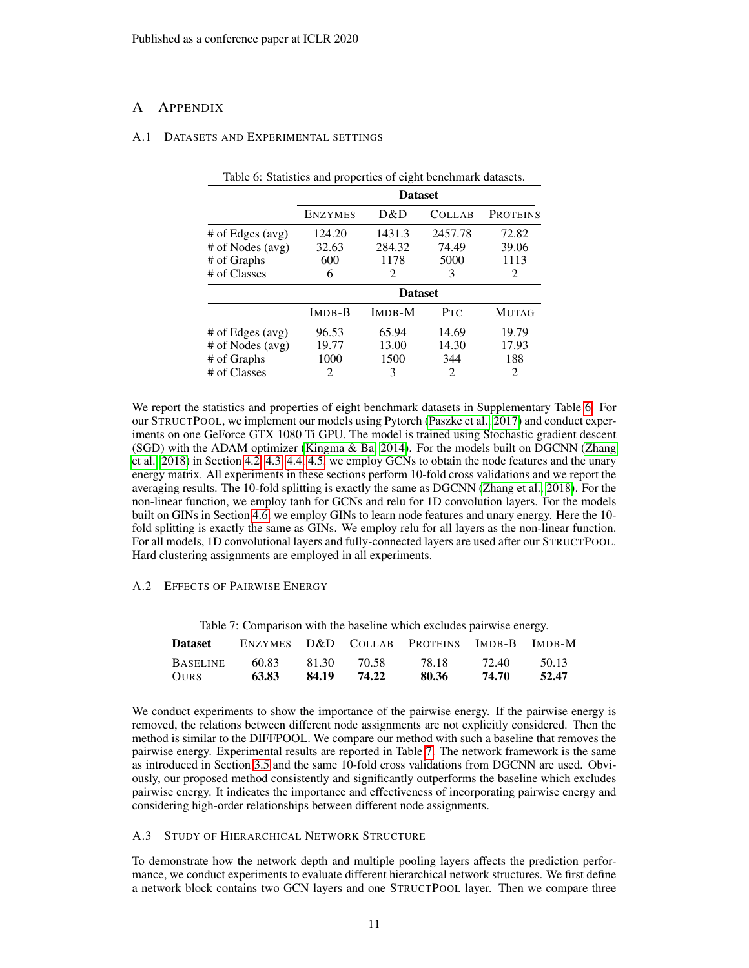# <span id="page-10-1"></span>A APPENDIX

### <span id="page-10-0"></span>A.1 DATASETS AND EXPERIMENTAL SETTINGS

|                    | <b>Dataset</b> |        |               |                 |  |  |
|--------------------|----------------|--------|---------------|-----------------|--|--|
|                    | <b>ENZYMES</b> | D&D    | <b>COLLAB</b> | <b>PROTEINS</b> |  |  |
| $#$ of Edges (avg) | 124.20         | 1431.3 | 2457.78       | 72.82           |  |  |
| # of Nodes (avg)   | 32.63          | 284.32 | 74.49         | 39.06           |  |  |
| # of Graphs        | 600            | 1178   | 5000          | 1113            |  |  |
| # of Classes       | 6              | 2      | 3             | 2               |  |  |
|                    | <b>Dataset</b> |        |               |                 |  |  |
|                    | <b>IMDB-B</b>  | IMDB-M | <b>PTC</b>    | <b>MUTAG</b>    |  |  |
| $#$ of Edges (avg) | 96.53          | 65.94  | 14.69         | 19.79           |  |  |
| # of Nodes (avg)   | 19.77          | 13.00  | 14.30         | 17.93           |  |  |
| # of Graphs        | 1000           | 1500   | 344           | 188             |  |  |
| # of Classes       | 2              | 3      | 2             | $\mathfrak{D}$  |  |  |

Table 6: Statistics and properties of eight benchmark datasets.

We report the statistics and properties of eight benchmark datasets in Supplementary Table [6.](#page-10-0) For our STRUCTPOOL, we implement our models using Pytorch [\(Paszke et al., 2017\)](#page-9-17) and conduct experiments on one GeForce GTX 1080 Ti GPU. The model is trained using Stochastic gradient descent (SGD) with the ADAM optimizer [\(Kingma & Ba, 2014\)](#page-8-15). For the models built on DGCNN [\(Zhang](#page-9-5) [et al., 2018\)](#page-9-5) in Section [4.2,](#page-6-2) [4.3,](#page-6-3) [4.4,](#page-6-4) [4.5,](#page-7-2) we employ GCNs to obtain the node features and the unary energy matrix. All experiments in these sections perform 10-fold cross validations and we report the averaging results. The 10-fold splitting is exactly the same as DGCNN [\(Zhang et al., 2018\)](#page-9-5). For the non-linear function, we employ tanh for GCNs and relu for 1D convolution layers. For the models built on GINs in Section [4.6,](#page-7-3) we employ GINs to learn node features and unary energy. Here the 10 fold splitting is exactly the same as GINs. We employ relu for all layers as the non-linear function. For all models, 1D convolutional layers and fully-connected layers are used after our STRUCTPOOL. Hard clustering assignments are employed in all experiments.

## <span id="page-10-2"></span>A.2 EFFECTS OF PAIRWISE ENERGY

|                                | Table 7: Comparison with the baseline which excludes pairwise energy. |                |                |                            |                |                |  |
|--------------------------------|-----------------------------------------------------------------------|----------------|----------------|----------------------------|----------------|----------------|--|
| <b>Dataset</b>                 | <b>ENZYMES</b>                                                        |                |                | D&D COLLAB PROTEINS IMDB-B |                | IMDB-M         |  |
| <b>BASELINE</b><br><b>OURS</b> | 60.83<br>63.83                                                        | 81.30<br>84.19 | 70.58<br>74.22 | 78.18<br>80.36             | 72.40<br>74.70 | 50.13<br>52.47 |  |

Table 7: Comparison with the baseline which excludes pairwise energy.

We conduct experiments to show the importance of the pairwise energy. If the pairwise energy is removed, the relations between different node assignments are not explicitly considered. Then the method is similar to the DIFFPOOL. We compare our method with such a baseline that removes the pairwise energy. Experimental results are reported in Table [7.](#page-10-2) The network framework is the same as introduced in Section [3.5](#page-5-1) and the same 10-fold cross validations from DGCNN are used. Obviously, our proposed method consistently and significantly outperforms the baseline which excludes pairwise energy. It indicates the importance and effectiveness of incorporating pairwise energy and considering high-order relationships between different node assignments.

## <span id="page-10-3"></span>A.3 STUDY OF HIERARCHICAL NETWORK STRUCTURE

To demonstrate how the network depth and multiple pooling layers affects the prediction performance, we conduct experiments to evaluate different hierarchical network structures. We first define a network block contains two GCN layers and one STRUCTPOOL layer. Then we compare three